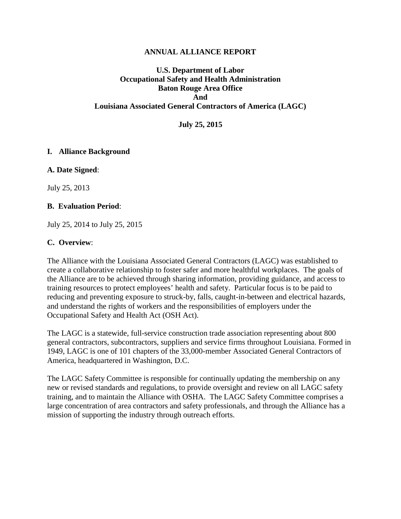#### **ANNUAL ALLIANCE REPORT**

## **U.S. Department of Labor Occupational Safety and Health Administration Baton Rouge Area Office And Louisiana Associated General Contractors of America (LAGC)**

**July 25, 2015**

#### **I. Alliance Background**

**A. Date Signed**:

July 25, 2013

#### **B. Evaluation Period**:

July 25, 2014 to July 25, 2015

#### **C. Overview**:

The Alliance with the Louisiana Associated General Contractors (LAGC) was established to create a collaborative relationship to foster safer and more healthful workplaces. The goals of the Alliance are to be achieved through sharing information, providing guidance, and access to training resources to protect employees' health and safety. Particular focus is to be paid to reducing and preventing exposure to struck-by, falls, caught-in-between and electrical hazards, and understand the rights of workers and the responsibilities of employers under the Occupational Safety and Health Act (OSH Act).

The LAGC is a statewide, full-service construction trade association representing about 800 general contractors, subcontractors, suppliers and service firms throughout Louisiana. Formed in 1949, LAGC is one of 101 chapters of the 33,000-member Associated General Contractors of America, headquartered in Washington, D.C.

The LAGC Safety Committee is responsible for continually updating the membership on any new or revised standards and regulations, to provide oversight and review on all LAGC safety training, and to maintain the Alliance with OSHA. The LAGC Safety Committee comprises a large concentration of area contractors and safety professionals, and through the Alliance has a mission of supporting the industry through outreach efforts.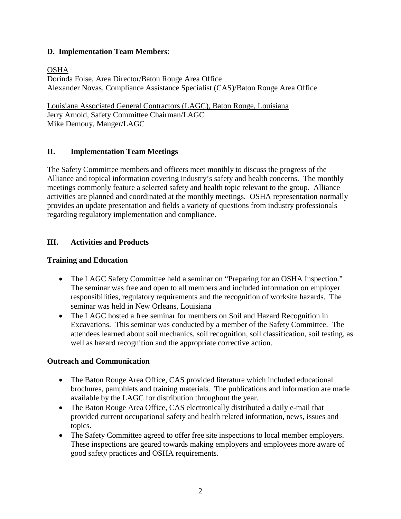## **D. Implementation Team Members**:

### OSHA

Dorinda Folse, Area Director/Baton Rouge Area Office Alexander Novas, Compliance Assistance Specialist (CAS)/Baton Rouge Area Office

Louisiana Associated General Contractors (LAGC), Baton Rouge, Louisiana Jerry Arnold, Safety Committee Chairman/LAGC Mike Demouy, Manger/LAGC

## **II. Implementation Team Meetings**

The Safety Committee members and officers meet monthly to discuss the progress of the Alliance and topical information covering industry's safety and health concerns. The monthly meetings commonly feature a selected safety and health topic relevant to the group. Alliance activities are planned and coordinated at the monthly meetings. OSHA representation normally provides an update presentation and fields a variety of questions from industry professionals regarding regulatory implementation and compliance.

### **III. Activities and Products**

#### **Training and Education**

- The LAGC Safety Committee held a seminar on "Preparing for an OSHA Inspection." The seminar was free and open to all members and included information on employer responsibilities, regulatory requirements and the recognition of worksite hazards. The seminar was held in New Orleans, Louisiana
- The LAGC hosted a free seminar for members on Soil and Hazard Recognition in Excavations. This seminar was conducted by a member of the Safety Committee. The attendees learned about soil mechanics, soil recognition, soil classification, soil testing, as well as hazard recognition and the appropriate corrective action.

#### **Outreach and Communication**

- The Baton Rouge Area Office, CAS provided literature which included educational brochures, pamphlets and training materials. The publications and information are made available by the LAGC for distribution throughout the year.
- The Baton Rouge Area Office, CAS electronically distributed a daily e-mail that provided current occupational safety and health related information, news, issues and topics.
- The Safety Committee agreed to offer free site inspections to local member employers. These inspections are geared towards making employers and employees more aware of good safety practices and OSHA requirements.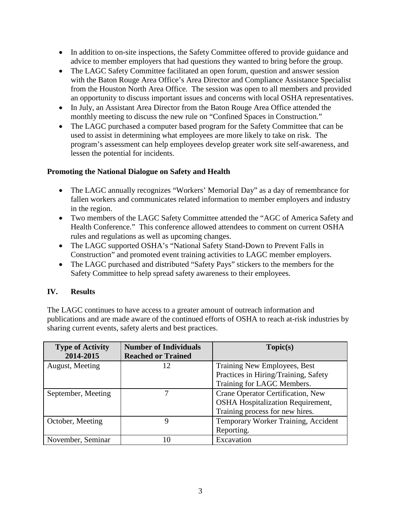- In addition to on-site inspections, the Safety Committee offered to provide guidance and advice to member employers that had questions they wanted to bring before the group.
- The LAGC Safety Committee facilitated an open forum, question and answer session with the Baton Rouge Area Office's Area Director and Compliance Assistance Specialist from the Houston North Area Office. The session was open to all members and provided an opportunity to discuss important issues and concerns with local OSHA representatives.
- In July, an Assistant Area Director from the Baton Rouge Area Office attended the monthly meeting to discuss the new rule on "Confined Spaces in Construction."
- The LAGC purchased a computer based program for the Safety Committee that can be used to assist in determining what employees are more likely to take on risk. The program's assessment can help employees develop greater work site self-awareness, and lessen the potential for incidents.

## **Promoting the National Dialogue on Safety and Health**

- The LAGC annually recognizes "Workers' Memorial Day" as a day of remembrance for fallen workers and communicates related information to member employers and industry in the region.
- Two members of the LAGC Safety Committee attended the "AGC of America Safety and Health Conference." This conference allowed attendees to comment on current OSHA rules and regulations as well as upcoming changes.
- The LAGC supported OSHA's "National Safety Stand-Down to Prevent Falls in Construction" and promoted event training activities to LAGC member employers.
- The LAGC purchased and distributed "Safety Pays" stickers to the members for the Safety Committee to help spread safety awareness to their employees.

# **IV. Results**

The LAGC continues to have access to a greater amount of outreach information and publications and are made aware of the continued efforts of OSHA to reach at-risk industries by sharing current events, safety alerts and best practices.

| <b>Type of Activity</b> | <b>Number of Individuals</b> | Topic(s)                                 |
|-------------------------|------------------------------|------------------------------------------|
| 2014-2015               | <b>Reached or Trained</b>    |                                          |
| August, Meeting         | 12                           | Training New Employees, Best             |
|                         |                              | Practices in Hiring/Training, Safety     |
|                         |                              | Training for LAGC Members.               |
| September, Meeting      |                              | Crane Operator Certification, New        |
|                         |                              | <b>OSHA Hospitalization Requirement,</b> |
|                         |                              | Training process for new hires.          |
| October, Meeting        | Q                            | Temporary Worker Training, Accident      |
|                         |                              | Reporting.                               |
| November, Seminar       | 10                           | Excavation                               |